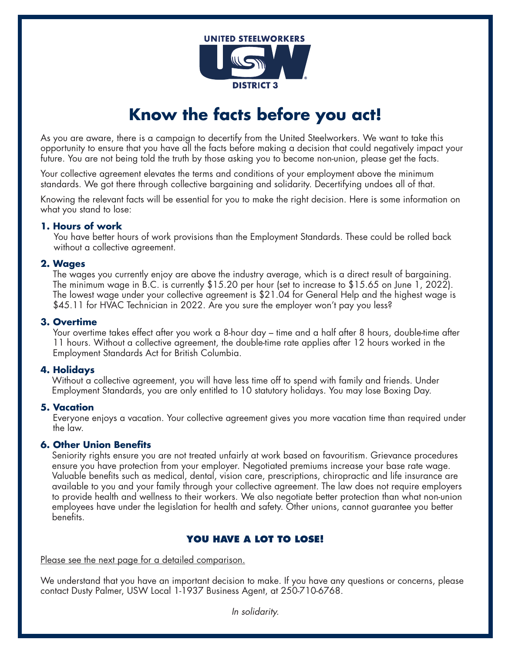

# **Know the facts before you act!**

As you are aware, there is a campaign to decertify from the United Steelworkers. We want to take this opportunity to ensure that you have all the facts before making a decision that could negatively impact your future. You are not being told the truth by those asking you to become non-union, please get the facts.

Your collective agreement elevates the terms and conditions of your employment above the minimum standards. We got there through collective bargaining and solidarity. Decertifying undoes all of that.

Knowing the relevant facts will be essential for you to make the right decision. Here is some information on what you stand to lose:

### **1. Hours of work**

You have better hours of work provisions than the Employment Standards. These could be rolled back without a collective agreement.

### **2. Wages**

The wages you currently enjoy are above the industry average, which is a direct result of bargaining. The minimum wage in B.C. is currently \$15.20 per hour (set to increase to \$15.65 on June 1, 2022). The lowest wage under your collective agreement is \$21.04 for General Help and the highest wage is \$45.11 for HVAC Technician in 2022. Are you sure the employer won't pay you less?

### **3. Overtime**

Your overtime takes effect after you work a 8-hour day – time and a half after 8 hours, double-time after 11 hours. Without a collective agreement, the double-time rate applies after 12 hours worked in the Employment Standards Act for British Columbia.

### **4. Holidays**

Without a collective agreement, you will have less time off to spend with family and friends. Under Employment Standards, you are only entitled to 10 statutory holidays. You may lose Boxing Day.

### **5. Vacation**

Everyone enjoys a vacation. Your collective agreement gives you more vacation time than required under the law.

### **6. Other Union Benefits**

Seniority rights ensure you are not treated unfairly at work based on favouritism. Grievance procedures ensure you have protection from your employer. Negotiated premiums increase your base rate wage. Valuable benefits such as medical, dental, vision care, prescriptions, chiropractic and life insurance are available to you and your family through your collective agreement. The law does not require employers to provide health and wellness to their workers. We also negotiate better protection than what non-union employees have under the legislation for health and safety. Other unions, cannot guarantee you better benefits.

## **YOU HAVE A LOT TO LOSE!**

Please see the next page for a detailed comparison.

We understand that you have an important decision to make. If you have any questions or concerns, please contact Dusty Palmer, USW Local 1-1937 Business Agent, at 250-710-6768.

*In solidarity.*